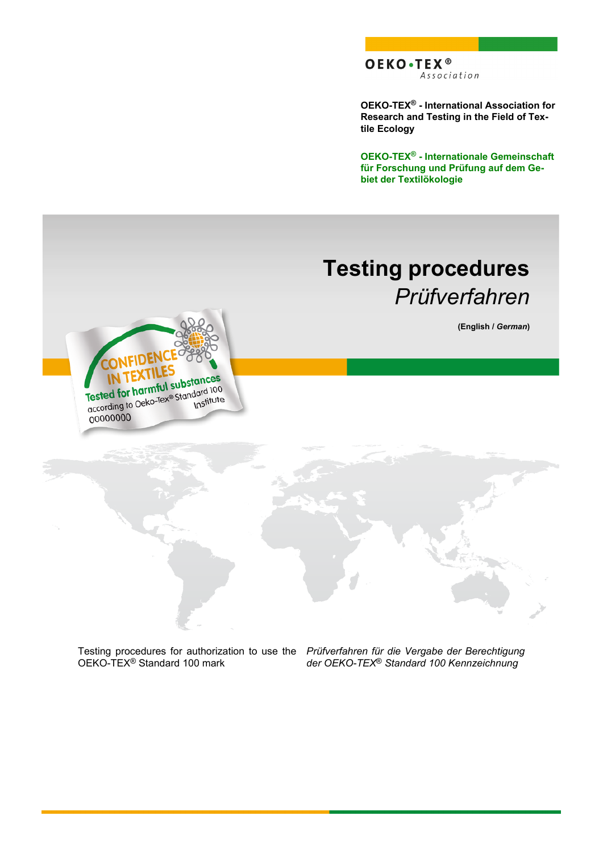**OEKO-TEX® - International Association for Research and Testing in the Field of Textile Ecology**

**OEKO-TEX® - Internationale Gemeinschaft für Forschung und Prüfung auf dem Gebiet der Textilökologie**

# **Testing procedures** *Prüfverfahren*

**(English /** *German***)**

Tested for harmful substances Tested for harmful substances Institute 00000000

Testing procedures for authorization to use the OEKO-TEX<sup>®</sup> Standard 100 mark

*Prüfverfahren für die Vergabe der Berechtigung der OEKO-TEX*® *Standard 100 Kennzeichnung*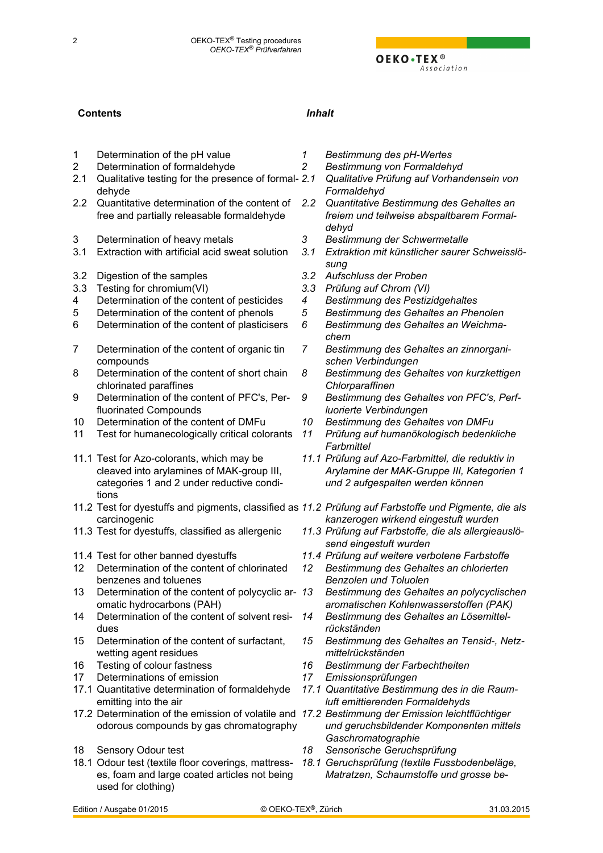## **Contents** *Inhalt*

- [1](#page-3-0) [Determination of the pH value](#page-3-0) *[1](#page-3-0) [Bestimmung des pH-Wertes](#page-3-0)*
- [2](#page-3-0) [Determination of formaldehyde](#page-3-0) *[2](#page-3-0) [Bestimmung von Formaldehyd](#page-3-0)*
- [2.1](#page-3-0) Qualitative testing for the presence of formal- 2.1 [dehyde](#page-3-0)
- [2.2](#page-3-0) [Quantitative determination of the content of](#page-3-0) 2.2 [free and partially releasable formaldehyde](#page-3-0)
- [3](#page-4-0) [Determination of heavy metals](#page-4-0) *[3](#page-4-0) [Bestimmung der Schwermetalle](#page-4-0)*
- [3.1](#page-4-0) [Extraction with artificial acid sweat solution](#page-4-0) *[3.1](#page-4-0) [Extraktion mit künstlicher saurer Schweisslö-](#page-4-0)*
- [3.2](#page-4-0) [Digestion of the samples](#page-4-0) *[3.2](#page-4-0) [Aufschluss der Proben](#page-4-0)*
- [3.3](#page-5-0) [Testing for chromium\(VI\)](#page-5-0) *[3.3](#page-5-0) [Prüfung auf Chrom \(VI\)](#page-5-0)*
- [4](#page-5-0) [Determination of the content of pesticides](#page-5-0) *[4](#page-5-0) [Bestimmung des Pestizidgehaltes](#page-5-0)*
- 
- [6](#page-5-0) [Determination of the content of plasticisers](#page-5-0) *[6](#page-5-0) [Bestimmung des Gehaltes an Weichma-](#page-5-0)*
- [7](#page-6-0) [Determination of the content of organic tin](#page-6-0) [compounds](#page-6-0)
- [8](#page-6-0) [Determination of the content of short chain](#page-6-0) [chlorinated paraffines](#page-6-0)
- [9](#page-6-0) [Determination of the content of PFC's, Per](#page-6-0)[fluorinated Compounds](#page-6-0)
- [10](#page-6-0) [Determination of the content of DMFu](#page-6-0) *[10](#page-6-0) [Bestimmung des Gehaltes von DMFu](#page-6-0)*
- [11](#page-7-0) [Test for humanecologically critical colorants](#page-7-0) *[11](#page-7-0) [Prüfung auf humanökologisch bedenkliche](#page-7-0)*
- [11.1](#page-7-0) [Test for Azo-colorants, which may be](#page-7-0) [cleaved into arylamines of MAK-group III,](#page-7-0) [categories 1 and 2 under reductive condi](#page-7-0)[tions](#page-7-0)
- [11.2](#page-8-0) [Test for dyestuffs and pigments, classified as](#page-8-0) *[11.2](#page-8-0) [Prüfung auf Farbstoffe und Pigmente, die als](#page-8-0)* [carcinogenic](#page-8-0)
- 
- 
- [12](#page-9-0) [Determination of the content of chlorinated](#page-9-0) [benzenes and toluenes](#page-9-0)
- [13](#page-9-0) Determination of the content of polycyclic ar- 13 [omatic hydrocarbons \(PAH\)](#page-9-0)
- [14](#page-9-0) [Determination of the content of solvent resi](#page-9-0)[dues](#page-9-0)
- [15](#page-9-0) [Determination of the content of surfactant,](#page-9-0) [wetting agent residues](#page-9-0)
- 
- [17](#page-10-0) [Determinations of emission](#page-10-0) *[17](#page-10-0) [Emissionsprüfungen](#page-10-0)*
- [17.1](#page-11-0) [Quantitative determination of formaldehyde](#page-11-0) [emitting into the air](#page-11-0)
- [17.2](#page-11-0) [Determination of the emission of volatile and](#page-11-0) *[17.2](#page-11-0) [Bestimmung der Emission leichtflüchtiger](#page-11-0)* [odorous compounds by gas chromatography](#page-11-0)
- 
- [18.1](#page-12-0) [Odour test \(textile floor coverings, mattress](#page-12-0)[es, foam and large coated articles not being](#page-12-0) [used for clothing\)](#page-12-0)
- 
- 
- *[2.1](#page-3-0) [Qualitative Prüfung auf Vorhandensein von](#page-3-0) [Formaldehyd](#page-3-0)*
- *[2.2](#page-3-0) [Quantitative Bestimmung des Gehaltes an](#page-3-0) [freiem und teilweise abspaltbarem Formal](#page-3-0)[dehyd](#page-3-0)*
- 
- *[sung](#page-4-0)*
- 
- 
- 
- [5](#page-5-0) [Determination of the content of phenols](#page-5-0) *[5](#page-5-0) [Bestimmung des Gehaltes an Phenolen](#page-5-0)*
	- *[chern](#page-5-0)*
	- *[7](#page-6-0) [Bestimmung des Gehaltes an zinnorgani](#page-6-0)[schen Verbindungen](#page-6-0)*
	- *[8](#page-6-0) [Bestimmung des Gehaltes von kurzkettigen](#page-6-0) [Chlorparaffinen](#page-6-0)*
	- *[9](#page-6-0) [Bestimmung des Gehaltes von PFC's, Perf](#page-6-0)[luorierte Verbindungen](#page-6-0)*
	-
	- *[Farbmittel](#page-7-0)*
	- *[11.1](#page-7-0) [Prüfung auf Azo-Farbmittel, die reduktiv in](#page-7-0) [Arylamine der MAK-Gruppe III, Kategorien 1](#page-7-0) [und 2 aufgespalten werden können](#page-7-0)*
	- *[kanzerogen wirkend eingestuft wurden](#page-8-0)*
- [11.3](#page-8-0) [Test for dyestuffs, classified as allergenic](#page-8-0) *[11.3](#page-8-0) [Prüfung auf Farbstoffe, die als allergieauslö](#page-8-0)[send eingestuft wurden](#page-8-0)*
- [11.4](#page-9-0) [Test for other banned dyestuffs](#page-9-0) *[11.4](#page-9-0) [Prüfung auf weitere verbotene Farbstoffe](#page-9-0)*
	- *[12](#page-9-0) [Bestimmung des Gehaltes an chlorierten](#page-9-0) [Benzolen und Toluolen](#page-9-0)*
	- *[13](#page-9-0) [Bestimmung des Gehaltes an polycyclischen](#page-9-0) [aromatischen Kohlenwasserstoffen \(PAK\)](#page-9-0)*
	- *[14](#page-9-0) [Bestimmung des Gehaltes an Lösemittel](#page-9-0)[rückständen](#page-9-0)*
	- *[15](#page-9-0) [Bestimmung des Gehaltes an Tensid-, Netz](#page-9-0)[mittelrückständen](#page-9-0)*
- [16](#page-10-0) [Testing of colour fastness](#page-10-0) *[16](#page-10-0) [Bestimmung der Farbechtheiten](#page-10-0)*
	-
	- *[17.1](#page-11-0) [Quantitative Bestimmung des in die Raum](#page-11-0)[luft emittierenden Formaldehyds](#page-11-0)*
	- *[und geruchsbildender Komponenten mittels](#page-11-0) [Gaschromatographie](#page-11-0)*
- [18](#page-12-0) [Sensory Odour test](#page-12-0) *[18](#page-12-0) [Sensorische Geruchsprüfung](#page-12-0)*
	- *[18.1](#page-12-0) [Geruchsprüfung \(textile Fussbodenbeläge,](#page-12-0) [Matratzen, Schaumstoffe und grosse be-](#page-12-0)*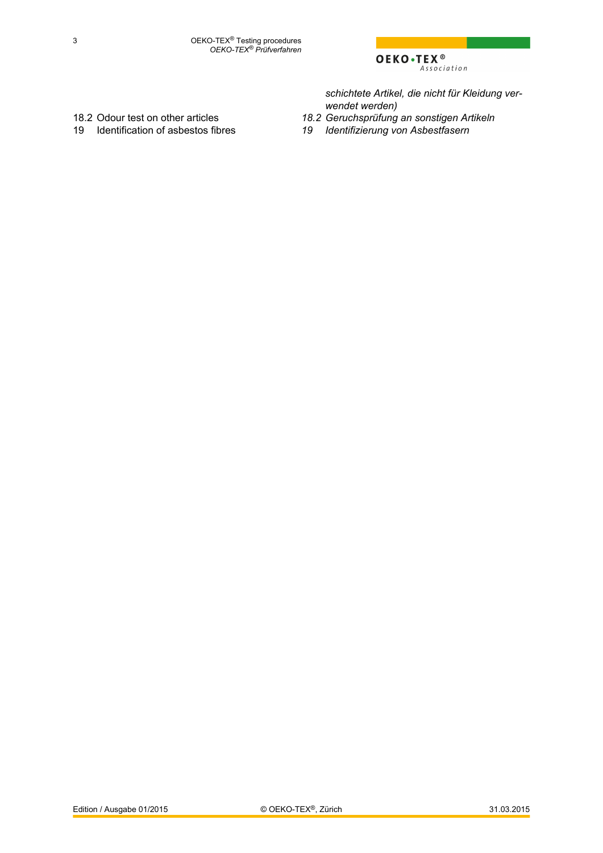

*[schichtete Artikel, die nicht für Kleidung ver](#page-12-0)[wendet werden\)](#page-12-0)*

- 
- 
- [18.2](#page-12-0) [Odour test on other articles](#page-12-0) *[18.2](#page-12-0) [Geruchsprüfung an sonstigen Artikeln](#page-12-0)*
	- [19](#page-13-0) [Identifizierung von Asbestfasern](#page-13-0)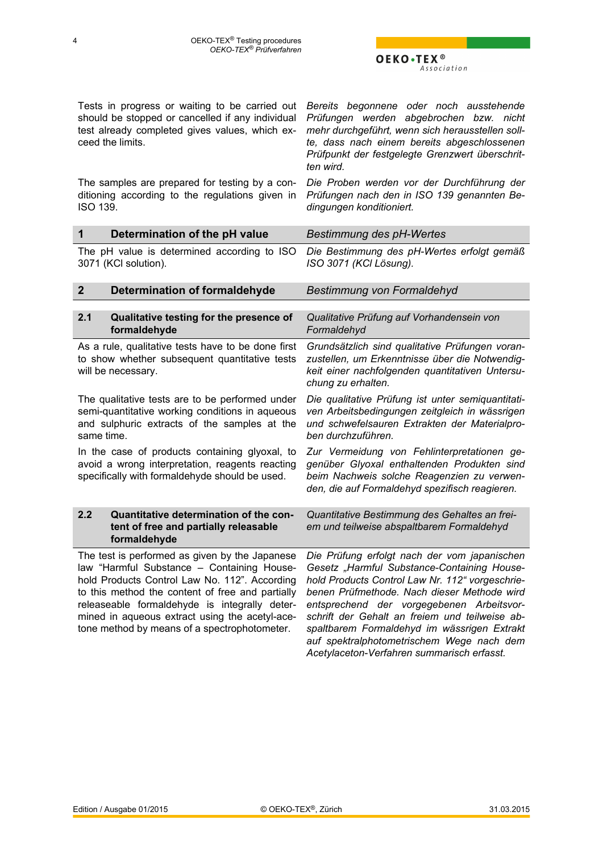*Acetylaceton-Verfahren summarisch erfasst.*

<span id="page-3-0"></span>Tests in progress or waiting to be carried out *Bereits begonnene oder noch ausstehende* should be stopped or cancelled if any individual test already completed gives values, which exceed the limits. *Prüfungen werden abgebrochen bzw. nicht mehr durchgeführt, wenn sich herausstellen sollte, dass nach einem bereits abgeschlossenen Prüfpunkt der festgelegte Grenzwert überschritten wird.* The samples are prepared for testing by a conditioning according to the regulations given in ISO 139. *Die Proben werden vor der Durchführung der Prüfungen nach den in ISO 139 genannten Bedingungen konditioniert.* **1 Determination of the pH value** *Bestimmung des pH-Wertes*

The pH value is determined according to ISO 3071 (KCl solution). *Die Bestimmung des pH-Wertes erfolgt gemäß ISO 3071 (KCl Lösung).*

| $\overline{2}$ | Determination of formaldehyde                                                                                                                                                                                                                                                                                                                        | Bestimmung von Formaldehyd                                                                                                                                                                                                                                                                                                                                                               |
|----------------|------------------------------------------------------------------------------------------------------------------------------------------------------------------------------------------------------------------------------------------------------------------------------------------------------------------------------------------------------|------------------------------------------------------------------------------------------------------------------------------------------------------------------------------------------------------------------------------------------------------------------------------------------------------------------------------------------------------------------------------------------|
| 2.1            | Qualitative testing for the presence of<br>formaldehyde                                                                                                                                                                                                                                                                                              | Qualitative Prüfung auf Vorhandensein von<br>Formaldehyd                                                                                                                                                                                                                                                                                                                                 |
|                | As a rule, qualitative tests have to be done first<br>to show whether subsequent quantitative tests<br>will be necessary.                                                                                                                                                                                                                            | Grundsätzlich sind qualitative Prüfungen voran-<br>zustellen, um Erkenntnisse über die Notwendig-<br>keit einer nachfolgenden quantitativen Untersu-<br>chung zu erhalten.                                                                                                                                                                                                               |
| same time.     | The qualitative tests are to be performed under<br>semi-quantitative working conditions in aqueous<br>and sulphuric extracts of the samples at the                                                                                                                                                                                                   | Die qualitative Prüfung ist unter semiquantitati-<br>ven Arbeitsbedingungen zeitgleich in wässrigen<br>und schwefelsauren Extrakten der Materialpro-<br>ben durchzuführen.                                                                                                                                                                                                               |
|                | In the case of products containing glyoxal, to<br>avoid a wrong interpretation, reagents reacting<br>specifically with formaldehyde should be used.                                                                                                                                                                                                  | Zur Vermeidung von Fehlinterpretationen ge-<br>genüber Glyoxal enthaltenden Produkten sind<br>beim Nachweis solche Reagenzien zu verwen-<br>den, die auf Formaldehyd spezifisch reagieren.                                                                                                                                                                                               |
| 2.2            | Quantitative determination of the con-<br>tent of free and partially releasable<br>formaldehyde                                                                                                                                                                                                                                                      | Quantitative Bestimmung des Gehaltes an frei-<br>em und teilweise abspaltbarem Formaldehyd                                                                                                                                                                                                                                                                                               |
|                | The test is performed as given by the Japanese<br>law "Harmful Substance - Containing House-<br>hold Products Control Law No. 112". According<br>to this method the content of free and partially<br>releaseable formaldehyde is integrally deter-<br>mined in aqueous extract using the acetyl-ace-<br>tone method by means of a spectrophotometer. | Die Prüfung erfolgt nach der vom japanischen<br>Gesetz "Harmful Substance-Containing House-<br>hold Products Control Law Nr. 112" vorgeschrie-<br>benen Prüfmethode. Nach dieser Methode wird<br>entsprechend der vorgegebenen Arbeitsvor-<br>schrift der Gehalt an freiem und teilweise ab-<br>spaltbarem Formaldehyd im wässrigen Extrakt<br>auf spektralphotometrischem Wege nach dem |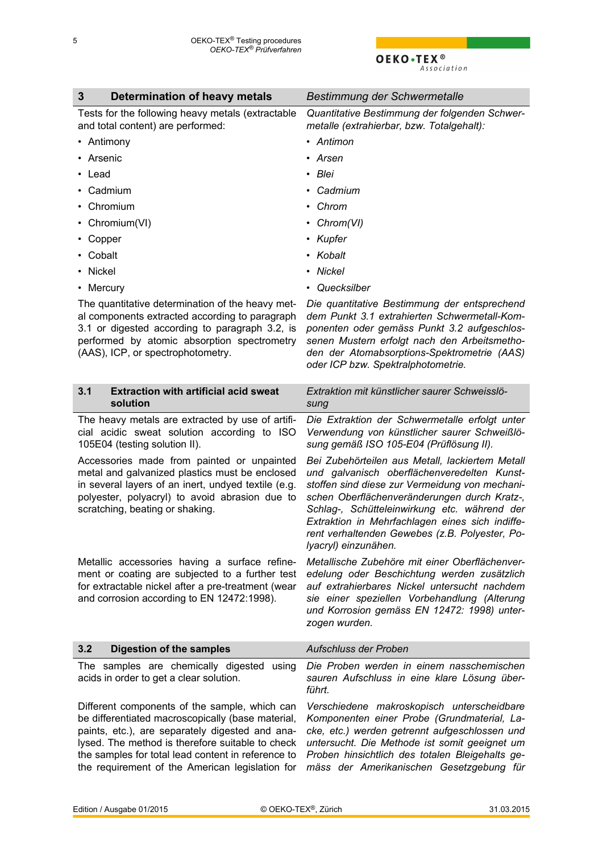<span id="page-4-0"></span>

| 3<br>Determination of heavy metals                                                                                                                                                                                                                                                                                 | Bestimmung der Schwermetalle                                                                                                                                                                                                                                                                                                                                                  |
|--------------------------------------------------------------------------------------------------------------------------------------------------------------------------------------------------------------------------------------------------------------------------------------------------------------------|-------------------------------------------------------------------------------------------------------------------------------------------------------------------------------------------------------------------------------------------------------------------------------------------------------------------------------------------------------------------------------|
| Tests for the following heavy metals (extractable<br>and total content) are performed:                                                                                                                                                                                                                             | Quantitative Bestimmung der folgenden Schwer-<br>metalle (extrahierbar, bzw. Totalgehalt):                                                                                                                                                                                                                                                                                    |
| • Antimony                                                                                                                                                                                                                                                                                                         | • Antimon                                                                                                                                                                                                                                                                                                                                                                     |
| • Arsenic                                                                                                                                                                                                                                                                                                          | • Arsen                                                                                                                                                                                                                                                                                                                                                                       |
| $\cdot$ Lead                                                                                                                                                                                                                                                                                                       | • Blei                                                                                                                                                                                                                                                                                                                                                                        |
| • Cadmium                                                                                                                                                                                                                                                                                                          | • Cadmium                                                                                                                                                                                                                                                                                                                                                                     |
| • Chromium                                                                                                                                                                                                                                                                                                         | • Chrom                                                                                                                                                                                                                                                                                                                                                                       |
| • Chromium(VI)                                                                                                                                                                                                                                                                                                     | • $Chrom(VI)$                                                                                                                                                                                                                                                                                                                                                                 |
| • Copper                                                                                                                                                                                                                                                                                                           | • Kupfer                                                                                                                                                                                                                                                                                                                                                                      |
| • Cobalt                                                                                                                                                                                                                                                                                                           | • Kobalt                                                                                                                                                                                                                                                                                                                                                                      |
| • Nickel                                                                                                                                                                                                                                                                                                           | • Nickel                                                                                                                                                                                                                                                                                                                                                                      |
| • Mercury                                                                                                                                                                                                                                                                                                          | • Quecksilber                                                                                                                                                                                                                                                                                                                                                                 |
| The quantitative determination of the heavy met-<br>al components extracted according to paragraph<br>3.1 or digested according to paragraph 3.2, is<br>performed by atomic absorption spectrometry<br>(AAS), ICP, or spectrophotometry.                                                                           | Die quantitative Bestimmung der entsprechend<br>dem Punkt 3.1 extrahierten Schwermetall-Kom-<br>ponenten oder gemäss Punkt 3.2 aufgeschlos-<br>senen Mustern erfolgt nach den Arbeitsmetho-<br>den der Atomabsorptions-Spektrometrie (AAS)<br>oder ICP bzw. Spektralphotometrie.                                                                                              |
| <b>Extraction with artificial acid sweat</b><br>3.1<br>solution                                                                                                                                                                                                                                                    | Extraktion mit künstlicher saurer Schweisslö-<br>sung                                                                                                                                                                                                                                                                                                                         |
| The heavy metals are extracted by use of artifi-<br>cial acidic sweat solution according to ISO<br>105E04 (testing solution II).                                                                                                                                                                                   | Die Extraktion der Schwermetalle erfolgt unter<br>Verwendung von künstlicher saurer Schweißlö-<br>sung gemäß ISO 105-E04 (Prüflösung II).                                                                                                                                                                                                                                     |
| Accessories made from painted or unpainted<br>metal and galvanized plastics must be enclosed<br>in several layers of an inert, undyed textile (e.g.<br>polyester, polyacryl) to avoid abrasion due to<br>scratching, beating or shaking.                                                                           | Bei Zubehörteilen aus Metall, lackiertem Metall<br>und galvanisch oberflächenveredelten Kunst-<br>stoffen sind diese zur Vermeidung von mechani-<br>schen Oberflächenveränderungen durch Kratz-,<br>Schlag-, Schütteleinwirkung etc. während der<br>Extraktion in Mehrfachlagen eines sich indiffe-<br>rent verhaltenden Gewebes (z.B. Polyester, Po-<br>lyacryl) einzunähen. |
| Metallic accessories having a surface refine-<br>ment or coating are subjected to a further test<br>for extractable nickel after a pre-treatment (wear<br>and corrosion according to EN 12472:1998).                                                                                                               | Metallische Zubehöre mit einer Oberflächenver-<br>edelung oder Beschichtung werden zusätzlich<br>auf extrahierbares Nickel untersucht nachdem<br>sie einer speziellen Vorbehandlung (Alterung<br>und Korrosion gemäss EN 12472: 1998) unter-<br>zogen wurden.                                                                                                                 |
| 3.2<br><b>Digestion of the samples</b>                                                                                                                                                                                                                                                                             | Aufschluss der Proben                                                                                                                                                                                                                                                                                                                                                         |
| The samples are chemically digested<br>using<br>acids in order to get a clear solution.                                                                                                                                                                                                                            | Die Proben werden in einem nasschemischen<br>sauren Aufschluss in eine klare Lösung über-<br>führt.                                                                                                                                                                                                                                                                           |
| Different components of the sample, which can<br>be differentiated macroscopically (base material,<br>paints, etc.), are separately digested and ana-<br>lysed. The method is therefore suitable to check<br>the samples for total lead content in reference to<br>the requirement of the American legislation for | Verschiedene makroskopisch unterscheidbare<br>Komponenten einer Probe (Grundmaterial, La-<br>cke, etc.) werden getrennt aufgeschlossen und<br>untersucht. Die Methode ist somit geeignet um<br>Proben hinsichtlich des totalen Bleigehalts ge-<br>mäss der Amerikanischen Gesetzgebung für                                                                                    |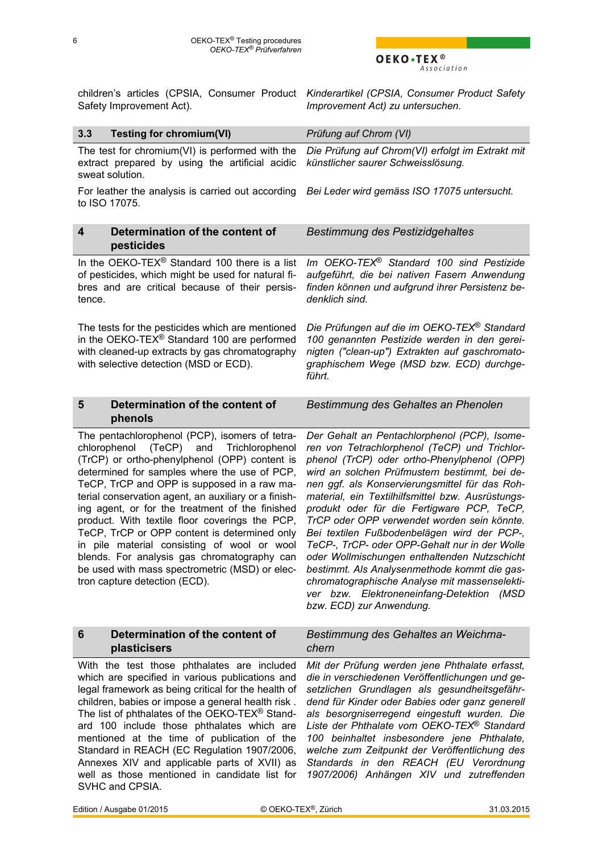# OEKO.TEX<sup>®</sup>

<span id="page-5-0"></span>children's articles (CPSIA, Consumer Product *Kinderartikel (CPSIA, Consumer Product Safety* Safety Improvement Act).

*Improvement Act) zu untersuchen.*

| 3.3<br><b>Testing for chromium(VI)</b>                                                                                                                                                                                                                                                                                                                                                                                                                                                                                                                                                                                                     | Prüfung auf Chrom (VI)                                                                                                                                                                                                                                                                                                                                                                                                                                                                                                                                                                                                                                                                                                      |
|--------------------------------------------------------------------------------------------------------------------------------------------------------------------------------------------------------------------------------------------------------------------------------------------------------------------------------------------------------------------------------------------------------------------------------------------------------------------------------------------------------------------------------------------------------------------------------------------------------------------------------------------|-----------------------------------------------------------------------------------------------------------------------------------------------------------------------------------------------------------------------------------------------------------------------------------------------------------------------------------------------------------------------------------------------------------------------------------------------------------------------------------------------------------------------------------------------------------------------------------------------------------------------------------------------------------------------------------------------------------------------------|
| The test for chromium( $VI$ ) is performed with the<br>extract prepared by using the artificial acidic<br>sweat solution.                                                                                                                                                                                                                                                                                                                                                                                                                                                                                                                  | Die Prüfung auf Chrom(VI) erfolgt im Extrakt mit<br>künstlicher saurer Schweisslösung.                                                                                                                                                                                                                                                                                                                                                                                                                                                                                                                                                                                                                                      |
| For leather the analysis is carried out according<br>to ISO 17075.                                                                                                                                                                                                                                                                                                                                                                                                                                                                                                                                                                         | Bei Leder wird gemäss ISO 17075 untersucht.                                                                                                                                                                                                                                                                                                                                                                                                                                                                                                                                                                                                                                                                                 |
| Determination of the content of<br>4<br>pesticides                                                                                                                                                                                                                                                                                                                                                                                                                                                                                                                                                                                         | <b>Bestimmung des Pestizidgehaltes</b>                                                                                                                                                                                                                                                                                                                                                                                                                                                                                                                                                                                                                                                                                      |
| In the OEKO-TEX <sup>®</sup> Standard 100 there is a list<br>of pesticides, which might be used for natural fi-<br>bres and are critical because of their persis-<br>tence.                                                                                                                                                                                                                                                                                                                                                                                                                                                                | Im OEKO-TEX® Standard 100 sind Pestizide<br>aufgeführt, die bei nativen Fasern Anwendung<br>finden können und aufgrund ihrer Persistenz be-<br>denklich sind.                                                                                                                                                                                                                                                                                                                                                                                                                                                                                                                                                               |
| The tests for the pesticides which are mentioned<br>in the OEKO-TEX® Standard 100 are performed<br>with cleaned-up extracts by gas chromatography<br>with selective detection (MSD or ECD).                                                                                                                                                                                                                                                                                                                                                                                                                                                | Die Prüfungen auf die im OEKO-TEX® Standard<br>100 genannten Pestizide werden in den gerei-<br>nigten ("clean-up") Extrakten auf gaschromato-<br>graphischem Wege (MSD bzw. ECD) durchge-<br>führt.                                                                                                                                                                                                                                                                                                                                                                                                                                                                                                                         |
| Determination of the content of<br>5<br>phenols                                                                                                                                                                                                                                                                                                                                                                                                                                                                                                                                                                                            | Bestimmung des Gehaltes an Phenolen                                                                                                                                                                                                                                                                                                                                                                                                                                                                                                                                                                                                                                                                                         |
| The pentachlorophenol (PCP), isomers of tetra-<br>chlorophenol (TeCP) and<br>Trichlorophenol<br>(TrCP) or ortho-phenylphenol (OPP) content is<br>determined for samples where the use of PCP,<br>TeCP, TrCP and OPP is supposed in a raw ma-<br>terial conservation agent, an auxiliary or a finish-<br>ing agent, or for the treatment of the finished<br>product. With textile floor coverings the PCP,<br>TeCP, TrCP or OPP content is determined only<br>in pile material consisting of wool or wool<br>blends. For analysis gas chromatography can<br>be used with mass spectrometric (MSD) or elec-<br>tron capture detection (ECD). | Der Gehalt an Pentachlorphenol (PCP), Isome-<br>ren von Tetrachlorphenol (TeCP) und Trichlor-<br>phenol (TrCP) oder ortho-Phenylphenol (OPP)<br>wird an solchen Prüfmustern bestimmt, bei de-<br>nen ggf. als Konservierungsmittel für das Roh-<br>material, ein Textilhilfsmittel bzw. Ausrüstungs-<br>produkt oder für die Fertigware PCP, TeCP,<br>TrCP oder OPP verwendet worden sein könnte.<br>Bei textilen Fußbodenbelägen wird der PCP-,<br>TeCP-, TrCP- oder OPP-Gehalt nur in der Wolle<br>oder Wollmischungen enthaltenden Nutzschicht<br>bestimmt. Als Analysenmethode kommt die gas-<br>chromatographische Analyse mit massenselekti-<br>ver bzw. Elektroneneinfang-Detektion (MSD<br>bzw. ECD) zur Anwendung. |
| Determination of the content of<br>$6\phantom{1}$<br>plasticisers                                                                                                                                                                                                                                                                                                                                                                                                                                                                                                                                                                          | Bestimmung des Gehaltes an Weichma-<br>chern                                                                                                                                                                                                                                                                                                                                                                                                                                                                                                                                                                                                                                                                                |
| With the test those phthalates are included<br>which are specified in various publications and<br>legal framework as being critical for the health of<br>children, babies or impose a general health risk.<br>The list of phthalates of the OEKO-TEX <sup>®</sup> Stand-<br>ard 100 include those phthalates which are<br>mentioned at the time of publication of the<br>Standard in REACH (EC Regulation 1907/2006,<br>Annexes XIV and applicable parts of XVII) as<br>well as those mentioned in candidate list for<br>SVHC and CPSIA.                                                                                                   | Mit der Prüfung werden jene Phthalate erfasst,<br>die in verschiedenen Veröffentlichungen und ge-<br>setzlichen Grundlagen als gesundheitsgefähr-<br>dend für Kinder oder Babies oder ganz generell<br>als besorgniserregend eingestuft wurden. Die<br>Liste der Phthalate vom OEKO-TEX® Standard<br>100 beinhaltet insbesondere jene Phthalate,<br>welche zum Zeitpunkt der Veröffentlichung des<br>Standards in den REACH (EU Verordnung<br>1907/2006) Anhängen XIV und zutreffenden                                                                                                                                                                                                                                      |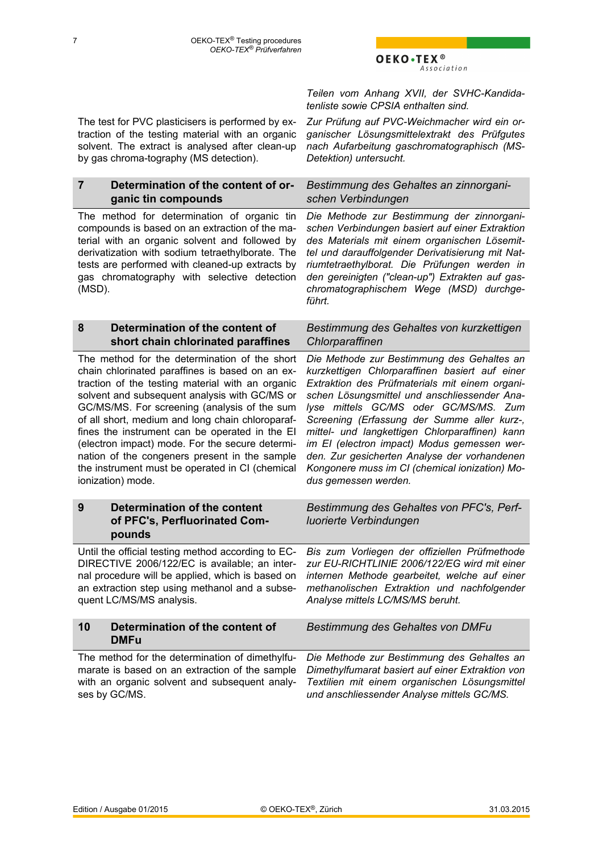*Teilen vom Anhang XVII, der SVHC-Kandidatenliste sowie CPSIA enthalten sind.*

*Zur Prüfung auf PVC-Weichmacher wird ein organischer Lösungsmittelextrakt des Prüfgutes nach Aufarbeitung gaschromatographisch (MS-*

*und anschliessender Analyse mittels GC/MS.*

*Detektion) untersucht.*

<span id="page-6-0"></span>The test for PVC plasticisers is performed by extraction of the testing material with an organic solvent. The extract is analysed after clean-up by gas chroma-tography (MS detection).

#### **7 Determination of the content of organic tin compounds** *Bestimmung des Gehaltes an zinnorganischen Verbindungen* The method for determination of organic tin compounds is based on an extraction of the material with an organic solvent and followed by derivatization with sodium tetraethylborate. The tests are performed with cleaned-up extracts by gas chromatography with selective detection (MSD). *Die Methode zur Bestimmung der zinnorganischen Verbindungen basiert auf einer Extraktion des Materials mit einem organischen Lösemittel und darauffolgender Derivatisierung mit Natriumtetraethylborat. Die Prüfungen werden in den gereinigten ("clean-up") Extrakten auf gaschromatographischem Wege (MSD) durchgeführt.* **8 Determination of the content of short chain chlorinated paraffines** *Bestimmung des Gehaltes von kurzkettigen Chlorparaffinen* The method for the determination of the short chain chlorinated paraffines is based on an extraction of the testing material with an organic solvent and subsequent analysis with GC/MS or GC/MS/MS. For screening (analysis of the sum of all short, medium and long chain chloroparaffines the instrument can be operated in the EI (electron impact) mode. For the secure determination of the congeners present in the sample the instrument must be operated in CI (chemical ionization) mode. *Die Methode zur Bestimmung des Gehaltes an kurzkettigen Chlorparaffinen basiert auf einer Extraktion des Prüfmaterials mit einem organischen Lösungsmittel und anschliessender Analyse mittels GC/MS oder GC/MS/MS. Zum Screening (Erfassung der Summe aller kurz-, mittel- und langkettigen Chlorparaffinen) kann im EI (electron impact) Modus gemessen werden. Zur gesicherten Analyse der vorhandenen Kongonere muss im CI (chemical ionization) Modus gemessen werden.* **9 Determination of the content of PFC's, Perfluorinated Compounds** *Bestimmung des Gehaltes von PFC's, Perfluorierte Verbindungen* Until the official testing method according to EC-DIRECTIVE 2006/122/EC is available; an internal procedure will be applied, which is based on an extraction step using methanol and a subsequent LC/MS/MS analysis. *Bis zum Vorliegen der offiziellen Prüfmethode zur EU-RICHTLINIE 2006/122/EG wird mit einer internen Methode gearbeitet, welche auf einer methanolischen Extraktion und nachfolgender Analyse mittels LC/MS/MS beruht.* **10 Determination of the content of DMFu** *Bestimmung des Gehaltes von DMFu* The method for the determination of dimethylfumarate is based on an extraction of the sample with an organic solvent and subsequent analy-*Die Methode zur Bestimmung des Gehaltes an Dimethylfumarat basiert auf einer Extraktion von Textilien mit einem organischen Lösungsmittel*

ses by GC/MS.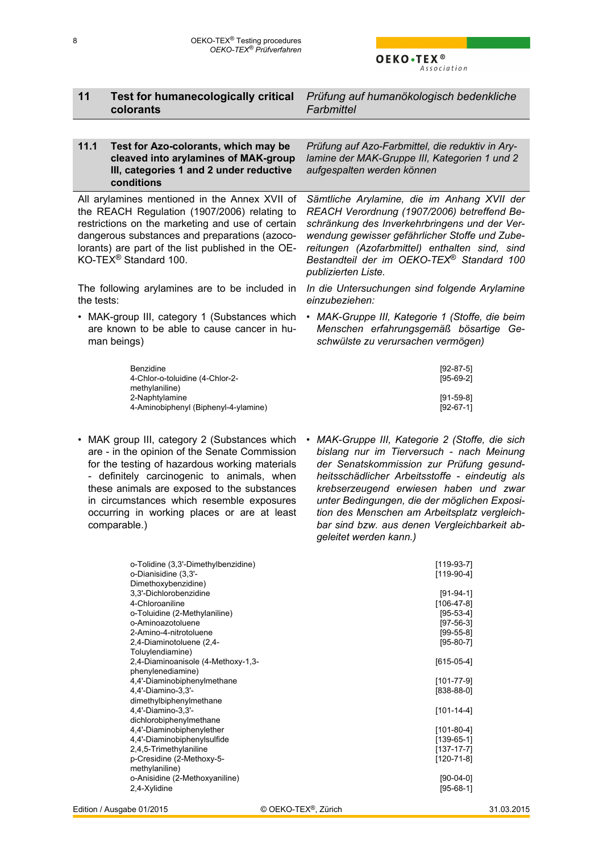#### <span id="page-7-0"></span>**11 Test for humanecologically critical colorants** *Prüfung auf humanökologisch bedenkliche Farbmittel* **11.1 Test for Azo-colorants, which may be cleaved into arylamines of MAK-group III, categories 1 and 2 under reductive conditions** *Prüfung auf Azo-Farbmittel, die reduktiv in Arylamine der MAK-Gruppe III, Kategorien 1 und 2 aufgespalten werden können* All arylamines mentioned in the Annex XVII of the REACH Regulation (1907/2006) relating to restrictions on the marketing and use of certain dangerous substances and preparations (azocolorants) are part of the list published in the OE-KO-TEX® Standard 100. *Sämtliche Arylamine, die im Anhang XVII der REACH Verordnung (1907/2006) betreffend Beschränkung des Inverkehrbringens und der Verwendung gewisser gefährlicher Stoffe und Zubereitungen (Azofarbmittel) enthalten sind, sind Bestandteil der im OEKO-TEX*® *Standard 100*

The following arylamines are to be included in the tests:

• MAK-group III, category 1 (Substances which are known to be able to cause cancer in human beings)

*In die Untersuchungen sind folgende Arylamine einzubeziehen: • MAK-Gruppe III, Kategorie 1 (Stoffe, die beim Menschen erfahrungsgemäß bösartige Ge-*

*schwülste zu verursachen vermögen)* Benzidine [92-87-5] 4-Chlor-o-toluidine (4-Chlor-2 methylaniline) [95-69-2]

*publizierten Liste.*

- 2-Naphtylamine [91-59-8]<br>4-Aminobiphenyl (Biphenyl-4-ylamine) 192-67-11 [92-67-1] 4-Aminobiphenyl (Biphenyl-4-ylamine)
- MAK group III, category 2 (Substances which are - in the opinion of the Senate Commission for the testing of hazardous working materials - definitely carcinogenic to animals, when these animals are exposed to the substances in circumstances which resemble exposures occurring in working places or are at least comparable.)
- *• MAK-Gruppe III, Kategorie 2 (Stoffe, die sich bislang nur im Tierversuch - nach Meinung der Senatskommission zur Prüfung gesundheitsschädlicher Arbeitsstoffe - eindeutig als krebserzeugend erwiesen haben und zwar unter Bedingungen, die der möglichen Exposition des Menschen am Arbeitsplatz vergleichbar sind bzw. aus denen Vergleichbarkeit abgeleitet werden kann.)*

| o-Tolidine (3,3'-Dimethylbenzidine)<br>o-Dianisidine (3,3'-<br>Dimethoxybenzidine) | $[119-93-7]$<br>$[119-90-4]$ |
|------------------------------------------------------------------------------------|------------------------------|
| 3,3'-Dichlorobenzidine                                                             | $[91-94-1]$                  |
| 4-Chloroaniline                                                                    | $[106 - 47 - 8]$             |
| o-Toluidine (2-Methylaniline)                                                      | $[95-53-4]$                  |
| o-Aminoazotoluene                                                                  | $[97-56-3]$                  |
| 2-Amino-4-nitrotoluene                                                             | $[99-55-8]$                  |
| 2,4-Diaminotoluene (2,4-                                                           | $[95-80-7]$                  |
| Toluylendiamine)                                                                   |                              |
| 2,4-Diaminoanisole (4-Methoxy-1,3-                                                 | $[615-05-4]$                 |
| phenylenediamine)                                                                  |                              |
| 4,4'-Diaminobiphenylmethane                                                        | $[101 - 77 - 9]$             |
| 4,4'-Diamino-3,3'-                                                                 | $[838-88-0]$                 |
| dimethylbiphenylmethane                                                            |                              |
| 4,4'-Diamino-3,3'-                                                                 | $[101 - 14 - 4]$             |
| dichlorobiphenylmethane                                                            |                              |
| 4,4'-Diaminobiphenylether                                                          | $[101-80-4]$                 |
| 4,4'-Diaminobiphenylsulfide                                                        | $[139-65-1]$                 |
| 2,4,5-Trimethylaniline                                                             | $[137-17-7]$                 |
| p-Cresidine (2-Methoxy-5-                                                          | $[120 - 71 - 8]$             |
| methylaniline)                                                                     |                              |
| o-Anisidine (2-Methoxyaniline)                                                     | $[90-04-0]$                  |
| 2,4-Xylidine                                                                       | $[95-68-1]$                  |
|                                                                                    |                              |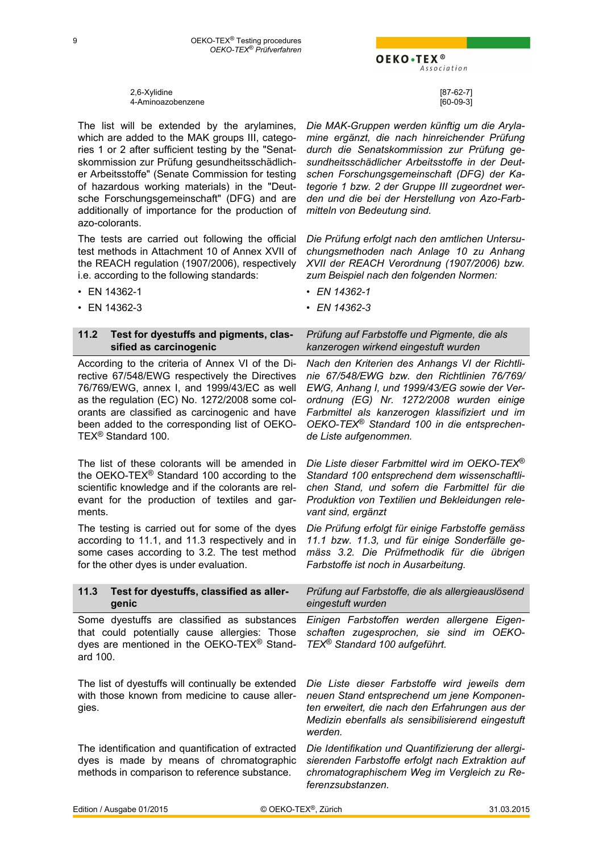2,6-Xylidine [87-62-7] 4-Aminoazobenzene [60-09-3]

<span id="page-8-0"></span>The list will be extended by the arylamines, which are added to the MAK groups III, categories 1 or 2 after sufficient testing by the "Senatskommission zur Prüfung gesundheitsschädlicher Arbeitsstoffe" (Senate Commission for testing of hazardous working materials) in the "Deutsche Forschungsgemeinschaft" (DFG) and are additionally of importance for the production of

The tests are carried out following the official test methods in Attachment 10 of Annex XVII of the REACH regulation (1907/2006), respectively

i.e. according to the following standards:

*Die MAK-Gruppen werden künftig um die Arylamine ergänzt, die nach hinreichender Prüfung durch die Senatskommission zur Prüfung gesundheitsschädlicher Arbeitsstoffe in der Deutschen Forschungsgemeinschaft (DFG) der Kategorie 1 bzw. 2 der Gruppe III zugeordnet werden und die bei der Herstellung von Azo-Farbmitteln von Bedeutung sind.*

*Die Prüfung erfolgt nach den amtlichen Untersuchungsmethoden nach Anlage 10 zu Anhang XVII der REACH Verordnung (1907/2006) bzw. zum Beispiel nach den folgenden Normen:*

• EN 14362-1 *• EN 14362-1*

• EN 14362-3 *• EN 14362-3*

| 11.2<br>Test for dyestuffs and pigments, clas-<br>sified as carcinogenic                                                                                                                                                                                                                                                     | Prüfung auf Farbstoffe und Pigmente, die als<br>kanzerogen wirkend eingestuft wurden                                                                                                                                                                                                                                           |
|------------------------------------------------------------------------------------------------------------------------------------------------------------------------------------------------------------------------------------------------------------------------------------------------------------------------------|--------------------------------------------------------------------------------------------------------------------------------------------------------------------------------------------------------------------------------------------------------------------------------------------------------------------------------|
| According to the criteria of Annex VI of the Di-<br>rective 67/548/EWG respectively the Directives<br>76/769/EWG, annex I, and 1999/43/EC as well<br>as the regulation (EC) No. 1272/2008 some col-<br>orants are classified as carcinogenic and have<br>been added to the corresponding list of OEKO-<br>TEX® Standard 100. | Nach den Kriterien des Anhangs VI der Richtli-<br>nie 67/548/EWG bzw. den Richtlinien 76/769/<br>EWG, Anhang I, und 1999/43/EG sowie der Ver-<br>ordnung (EG) Nr. 1272/2008 wurden einige<br>Farbmittel als kanzerogen klassifiziert und im<br>OEKO-TEX <sup>®</sup> Standard 100 in die entsprechen-<br>de Liste aufgenommen. |
| The list of these colorants will be amended in<br>the OEKO-TEX <sup>®</sup> Standard 100 according to the<br>scientific knowledge and if the colorants are rel-<br>evant for the production of textiles and gar-<br>ments.                                                                                                   | Die Liste dieser Farbmittel wird im OEKO-TEX <sup>®</sup><br>Standard 100 entsprechend dem wissenschaftli-<br>chen Stand, und sofern die Farbmittel für die<br>Produktion von Textilien und Bekleidungen rele-<br>vant sind, ergänzt                                                                                           |
| The testing is carried out for some of the dyes<br>according to 11.1, and 11.3 respectively and in<br>some cases according to 3.2. The test method<br>for the other dyes is under evaluation.                                                                                                                                | Die Prüfung erfolgt für einige Farbstoffe gemäss<br>11.1 bzw. 11.3, und für einige Sonderfälle ge-<br>mäss 3.2. Die Prüfmethodik für die übrigen<br>Farbstoffe ist noch in Ausarbeitung.                                                                                                                                       |
| 11.3<br>Test for dyestuffs, classified as aller-<br>genic                                                                                                                                                                                                                                                                    | Prüfung auf Farbstoffe, die als allergieauslösend<br>eingestuft wurden                                                                                                                                                                                                                                                         |
| Some dyestuffs are classified as substances<br>that could potentially cause allergies: Those<br>dyes are mentioned in the OEKO-TEX <sup>®</sup> Stand-<br>ard 100.                                                                                                                                                           | Einigen Farbstoffen werden allergene Eigen-<br>schaften zugesprochen, sie sind im OEKO-<br>TEX <sup>®</sup> Standard 100 aufgeführt.                                                                                                                                                                                           |
| The list of dyestuffs will continually be extended<br>with those known from medicine to cause aller-<br>gies.                                                                                                                                                                                                                | Die Liste dieser Farbstoffe wird jeweils dem<br>neuen Stand entsprechend um jene Komponen-<br>ten erweitert, die nach den Erfahrungen aus der<br>Medizin ebenfalls als sensibilisierend eingestuft<br>werden.                                                                                                                  |
| The identification and quantification of extracted<br>dyes is made by means of chromatographic<br>methods in comparison to reference substance.                                                                                                                                                                              | Die Identifikation und Quantifizierung der allergi-<br>sierenden Farbstoffe erfolgt nach Extraktion auf<br>chromatographischem Weg im Vergleich zu Re-<br>ferenzsubstanzen.                                                                                                                                                    |

Edition / Ausgabe 01/2015 © OEKO-TEX®, Zürich 31.03.2015

azo-colorants.

OEKO.TEX<sup>®</sup> Association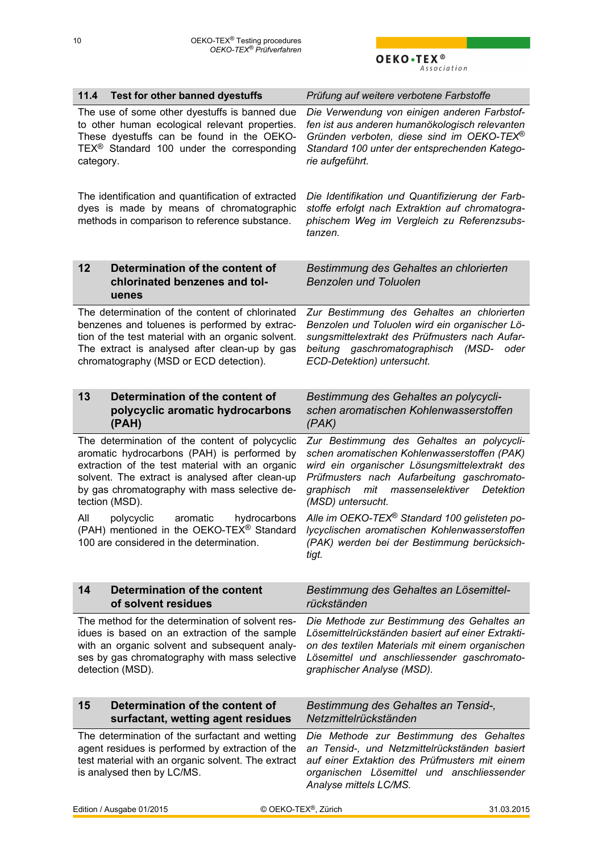OEKO $\cdot$ TEX<sup>®</sup>

<span id="page-9-0"></span>

| Test for other banned dyestuffs<br>11.4                                                                                                                                                                                                                                | Prüfung auf weitere verbotene Farbstoffe                                                                                                                                                                                                                           |
|------------------------------------------------------------------------------------------------------------------------------------------------------------------------------------------------------------------------------------------------------------------------|--------------------------------------------------------------------------------------------------------------------------------------------------------------------------------------------------------------------------------------------------------------------|
| The use of some other dyestuffs is banned due<br>to other human ecological relevant properties.<br>These dyestuffs can be found in the OEKO-<br>TEX <sup>®</sup> Standard 100 under the corresponding<br>category.                                                     | Die Verwendung von einigen anderen Farbstof-<br>fen ist aus anderen humanökologisch relevanten<br>Gründen verboten, diese sind im OEKO-TEX®<br>Standard 100 unter der entsprechenden Katego-<br>rie aufgeführt.                                                    |
| The identification and quantification of extracted<br>dyes is made by means of chromatographic<br>methods in comparison to reference substance.                                                                                                                        | Die Identifikation und Quantifizierung der Farb-<br>stoffe erfolgt nach Extraktion auf chromatogra-<br>phischem Weg im Vergleich zu Referenzsubs-<br>tanzen.                                                                                                       |
| 12<br>Determination of the content of<br>chlorinated benzenes and tol-<br>uenes                                                                                                                                                                                        | Bestimmung des Gehaltes an chlorierten<br><b>Benzolen und Toluolen</b>                                                                                                                                                                                             |
| The determination of the content of chlorinated<br>benzenes and toluenes is performed by extrac-<br>tion of the test material with an organic solvent.<br>The extract is analysed after clean-up by gas<br>chromatography (MSD or ECD detection).                      | Zur Bestimmung des Gehaltes an chlorierten<br>Benzolen und Toluolen wird ein organischer Lö-<br>sungsmittelextrakt des Prüfmusters nach Aufar-<br>beitung gaschromatographisch<br>(MSD-<br>oder<br>ECD-Detektion) untersucht.                                      |
| 13<br>Determination of the content of<br>polycyclic aromatic hydrocarbons<br>(PAH)                                                                                                                                                                                     | Bestimmung des Gehaltes an polycycli-<br>schen aromatischen Kohlenwasserstoffen<br>(PAK)                                                                                                                                                                           |
| The determination of the content of polycyclic<br>aromatic hydrocarbons (PAH) is performed by<br>extraction of the test material with an organic<br>solvent. The extract is analysed after clean-up<br>by gas chromatography with mass selective de-<br>tection (MSD). | Zur Bestimmung des Gehaltes an polycycli-<br>schen aromatischen Kohlenwasserstoffen (PAK)<br>wird ein organischer Lösungsmittelextrakt des<br>Prüfmusters nach Aufarbeitung gaschromato-<br>massenselektiver<br>graphisch<br>mit<br>Detektion<br>(MSD) untersucht. |
| All<br>polycyclic<br>aromatic<br>hydrocarbons<br>(PAH) mentioned in the OEKO-TEX <sup>®</sup> Standard<br>100 are considered in the determination.                                                                                                                     | Alle im OEKO-TEX <sup>®</sup> Standard 100 gelisteten po-<br>lycyclischen aromatischen Kohlenwasserstoffen<br>(PAK) werden bei der Bestimmung berücksich-<br>tigt.                                                                                                 |
| Determination of the content<br>14<br>of solvent residues                                                                                                                                                                                                              | Bestimmung des Gehaltes an Lösemittel-<br>rückständen                                                                                                                                                                                                              |
| The method for the determination of solvent res-<br>idues is based on an extraction of the sample<br>with an organic solvent and subsequent analy-<br>ses by gas chromatography with mass selective<br>detection (MSD).                                                | Die Methode zur Bestimmung des Gehaltes an<br>Lösemittelrückständen basiert auf einer Extrakti-<br>on des textilen Materials mit einem organischen<br>Lösemittel und anschliessender gaschromato-<br>graphischer Analyse (MSD).                                    |
| Determination of the content of<br>15<br>surfactant, wetting agent residues                                                                                                                                                                                            | Bestimmung des Gehaltes an Tensid-,<br>Netzmittelrückständen                                                                                                                                                                                                       |
| The determination of the surfactant and wetting<br>agent residues is performed by extraction of the<br>test material with an organic solvent. The extract<br>is analysed then by LC/MS.                                                                                | Die Methode zur Bestimmung des Gehaltes<br>an Tensid-, und Netzmittelrückständen basiert<br>auf einer Extaktion des Prüfmusters mit einem<br>organischen Lösemittel und anschliessender<br>Analyse mittels LC/MS.                                                  |
| Edition / Ausgabe 01/2015                                                                                                                                                                                                                                              | © OEKO-TEX <sup>®</sup> , Zürich<br>31.03.2015                                                                                                                                                                                                                     |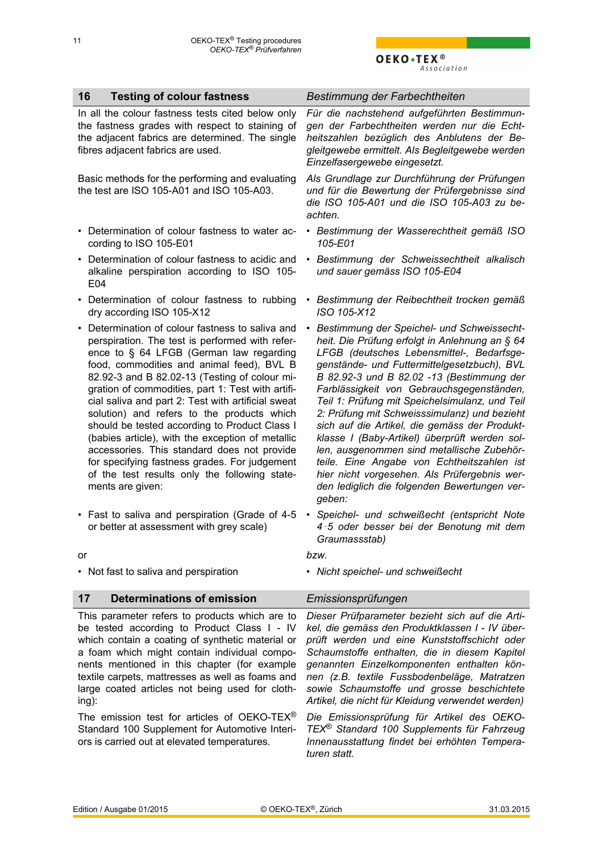<span id="page-10-0"></span>

| 16<br><b>Testing of colour fastness</b>                                                                                                                                                                                                                                                                                                                                                                                                                                                                                                                                                                                                                                         | Bestimmung der Farbechtheiten                                                                                                                                                                                                                                                                                                                                                                                                                                                                                                                                                                                                                                                                             |
|---------------------------------------------------------------------------------------------------------------------------------------------------------------------------------------------------------------------------------------------------------------------------------------------------------------------------------------------------------------------------------------------------------------------------------------------------------------------------------------------------------------------------------------------------------------------------------------------------------------------------------------------------------------------------------|-----------------------------------------------------------------------------------------------------------------------------------------------------------------------------------------------------------------------------------------------------------------------------------------------------------------------------------------------------------------------------------------------------------------------------------------------------------------------------------------------------------------------------------------------------------------------------------------------------------------------------------------------------------------------------------------------------------|
| In all the colour fastness tests cited below only<br>the fastness grades with respect to staining of<br>the adjacent fabrics are determined. The single<br>fibres adjacent fabrics are used.                                                                                                                                                                                                                                                                                                                                                                                                                                                                                    | Für die nachstehend aufgeführten Bestimmun-<br>gen der Farbechtheiten werden nur die Echt-<br>heitszahlen bezüglich des Anblutens der Be-<br>gleitgewebe ermittelt. Als Begleitgewebe werden<br>Einzelfasergewebe eingesetzt.                                                                                                                                                                                                                                                                                                                                                                                                                                                                             |
| Basic methods for the performing and evaluating<br>the test are ISO 105-A01 and ISO 105-A03.                                                                                                                                                                                                                                                                                                                                                                                                                                                                                                                                                                                    | Als Grundlage zur Durchführung der Prüfungen<br>und für die Bewertung der Prüfergebnisse sind<br>die ISO 105-A01 und die ISO 105-A03 zu be-<br>achten.                                                                                                                                                                                                                                                                                                                                                                                                                                                                                                                                                    |
| • Determination of colour fastness to water ac-<br>cording to ISO 105-E01                                                                                                                                                                                                                                                                                                                                                                                                                                                                                                                                                                                                       | • Bestimmung der Wasserechtheit gemäß ISO<br>105-E01                                                                                                                                                                                                                                                                                                                                                                                                                                                                                                                                                                                                                                                      |
| • Determination of colour fastness to acidic and<br>alkaline perspiration according to ISO 105-<br>E04                                                                                                                                                                                                                                                                                                                                                                                                                                                                                                                                                                          | Bestimmung der Schweissechtheit alkalisch<br>$\bullet$<br>und sauer gemäss ISO 105-E04                                                                                                                                                                                                                                                                                                                                                                                                                                                                                                                                                                                                                    |
| • Determination of colour fastness to rubbing<br>dry according ISO 105-X12                                                                                                                                                                                                                                                                                                                                                                                                                                                                                                                                                                                                      | • Bestimmung der Reibechtheit trocken gemäß<br>ISO 105-X12                                                                                                                                                                                                                                                                                                                                                                                                                                                                                                                                                                                                                                                |
| • Determination of colour fastness to saliva and<br>perspiration. The test is performed with refer-<br>ence to § 64 LFGB (German law regarding<br>food, commodities and animal feed), BVL B<br>82.92-3 and B 82.02-13 (Testing of colour mi-<br>gration of commodities, part 1: Test with artifi-<br>cial saliva and part 2: Test with artificial sweat<br>solution) and refers to the products which<br>should be tested according to Product Class I<br>(babies article), with the exception of metallic<br>accessories. This standard does not provide<br>for specifying fastness grades. For judgement<br>of the test results only the following state-<br>ments are given: | Bestimmung der Speichel- und Schweissecht-<br>$\bullet$<br>heit. Die Prüfung erfolgt in Anlehnung an § 64<br>LFGB (deutsches Lebensmittel-, Bedarfsge-<br>genstände- und Futtermittelgesetzbuch), BVL<br>B 82.92-3 und B 82.02 -13 (Bestimmung der<br>Farblässigkeit von Gebrauchsgegenständen,<br>Teil 1: Prüfung mit Speichelsimulanz, und Teil<br>2: Prüfung mit Schweisssimulanz) und bezieht<br>sich auf die Artikel, die gemäss der Produkt-<br>klasse I (Baby-Artikel) überprüft werden sol-<br>len, ausgenommen sind metallische Zubehör-<br>teile. Eine Angabe von Echtheitszahlen ist<br>hier nicht vorgesehen. Als Prüfergebnis wer-<br>den lediglich die folgenden Bewertungen ver-<br>geben: |
| • Fast to saliva and perspiration (Grade of 4-5<br>or better at assessment with grey scale)                                                                                                                                                                                                                                                                                                                                                                                                                                                                                                                                                                                     | Speichel- und schweißecht (entspricht Note<br>$\bullet$<br>4-5 oder besser bei der Benotung mit dem<br>Graumassstab)                                                                                                                                                                                                                                                                                                                                                                                                                                                                                                                                                                                      |
| or                                                                                                                                                                                                                                                                                                                                                                                                                                                                                                                                                                                                                                                                              | bzw.                                                                                                                                                                                                                                                                                                                                                                                                                                                                                                                                                                                                                                                                                                      |
| • Not fast to saliva and perspiration                                                                                                                                                                                                                                                                                                                                                                                                                                                                                                                                                                                                                                           | • Nicht speichel- und schweißecht                                                                                                                                                                                                                                                                                                                                                                                                                                                                                                                                                                                                                                                                         |
| <b>Determinations of emission</b><br>17                                                                                                                                                                                                                                                                                                                                                                                                                                                                                                                                                                                                                                         | Emissionsprüfungen                                                                                                                                                                                                                                                                                                                                                                                                                                                                                                                                                                                                                                                                                        |
| This parameter refers to products which are to<br>be tested according to Product Class I - IV<br>which contain a coating of synthetic material or                                                                                                                                                                                                                                                                                                                                                                                                                                                                                                                               | Dieser Prüfparameter bezieht sich auf die Arti-<br>kel, die gemäss den Produktklassen I - IV über-<br>prüft werden und eine Kunststoffschicht oder                                                                                                                                                                                                                                                                                                                                                                                                                                                                                                                                                        |

a foam which might contain individual components mentioned in this chapter (for example textile carpets, mattresses as well as foams and large coated articles not being used for clothing):

The emission test for articles of OEKO-TEX® Standard 100 Supplement for Automotive Interiors is carried out at elevated temperatures.

*Schaumstoffe enthalten, die in diesem Kapitel genannten Einzelkomponenten enthalten können (z.B. textile Fussbodenbeläge, Matratzen sowie Schaumstoffe und grosse beschichtete Artikel, die nicht für Kleidung verwendet werden)*

*Die Emissionsprüfung für Artikel des OEKO-TEX*® *Standard 100 Supplements für Fahrzeug Innenausstattung findet bei erhöhten Temperaturen statt.*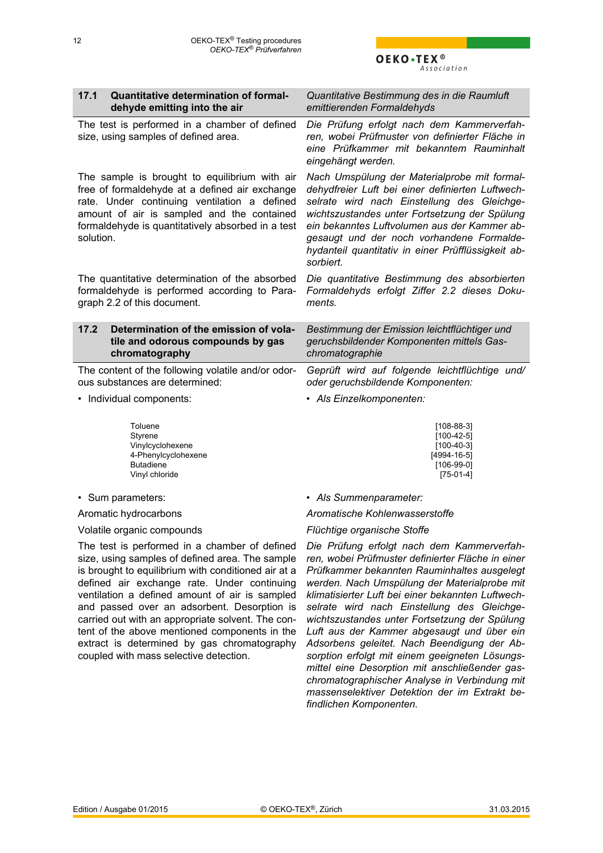<span id="page-11-0"></span>

| 17.1<br>Quantitative determination of formal-<br>dehyde emitting into the air                                                                                                                                                                                   | Quantitative Bestimmung des in die Raumluft<br>emittierenden Formaldehyds                                                                                                                                                                                                                                                                                        |
|-----------------------------------------------------------------------------------------------------------------------------------------------------------------------------------------------------------------------------------------------------------------|------------------------------------------------------------------------------------------------------------------------------------------------------------------------------------------------------------------------------------------------------------------------------------------------------------------------------------------------------------------|
| The test is performed in a chamber of defined<br>size, using samples of defined area.                                                                                                                                                                           | Die Prüfung erfolgt nach dem Kammerverfah-<br>ren, wobei Prüfmuster von definierter Fläche in<br>eine Prüfkammer mit bekanntem Rauminhalt<br>eingehängt werden.                                                                                                                                                                                                  |
| The sample is brought to equilibrium with air<br>free of formaldehyde at a defined air exchange<br>rate. Under continuing ventilation a defined<br>amount of air is sampled and the contained<br>formaldehyde is quantitatively absorbed in a test<br>solution. | Nach Umspülung der Materialprobe mit formal-<br>dehydfreier Luft bei einer definierten Luftwech-<br>selrate wird nach Einstellung des Gleichge-<br>wichtszustandes unter Fortsetzung der Spülung<br>ein bekanntes Luftvolumen aus der Kammer ab-<br>gesaugt und der noch vorhandene Formalde-<br>hydanteil quantitativ in einer Prüfflüssigkeit ab-<br>sorbiert. |
| The quantitative determination of the absorbed<br>formaldehyde is performed according to Para-<br>graph 2.2 of this document.                                                                                                                                   | Die quantitative Bestimmung des absorbierten<br>Formaldehyds erfolgt Ziffer 2.2 dieses Doku-<br>ments.                                                                                                                                                                                                                                                           |
|                                                                                                                                                                                                                                                                 |                                                                                                                                                                                                                                                                                                                                                                  |
| Determination of the emission of vola-<br>17.2<br>tile and odorous compounds by gas<br>chromatography                                                                                                                                                           | Bestimmung der Emission leichtflüchtiger und<br>geruchsbildender Komponenten mittels Gas-<br>chromatographie                                                                                                                                                                                                                                                     |
| The content of the following volatile and/or odor-<br>ous substances are determined:                                                                                                                                                                            | Geprüft wird auf folgende leichtflüchtige und/<br>oder geruchsbildende Komponenten:                                                                                                                                                                                                                                                                              |
| • Individual components:                                                                                                                                                                                                                                        | • Als Einzelkomponenten:                                                                                                                                                                                                                                                                                                                                         |
| Toluene<br>Styrene<br>Vinylcyclohexene<br>4-Phenylcyclohexene<br><b>Butadiene</b><br>Vinyl chloride                                                                                                                                                             | $[108-88-3]$<br>$[100-42-5]$<br>$[100-40-3]$<br>$[4994-16-5]$<br>$[106-99-0]$<br>$[75-01-4]$                                                                                                                                                                                                                                                                     |
| • Sum parameters:                                                                                                                                                                                                                                               | • Als Summenparameter:                                                                                                                                                                                                                                                                                                                                           |
| Aromatic hydrocarbons                                                                                                                                                                                                                                           | Aromatische Kohlenwasserstoffe                                                                                                                                                                                                                                                                                                                                   |

The test is performed in a chamber of defined size, using samples of defined area. The sample is brought to equilibrium with conditioned air at a defined air exchange rate. Under continuing ventilation a defined amount of air is sampled and passed over an adsorbent. Desorption is carried out with an appropriate solvent. The content of the above mentioned components in the extract is determined by gas chromatography coupled with mass selective detection.

*Die Prüfung erfolgt nach dem Kammerverfahren, wobei Prüfmuster definierter Fläche in einer Prüfkammer bekannten Rauminhaltes ausgelegt werden. Nach Umspülung der Materialprobe mit klimatisierter Luft bei einer bekannten Luftwechselrate wird nach Einstellung des Gleichgewichtszustandes unter Fortsetzung der Spülung Luft aus der Kammer abgesaugt und über ein Adsorbens geleitet. Nach Beendigung der Absorption erfolgt mit einem geeigneten Lösungsmittel eine Desorption mit anschließender gaschromatographischer Analyse in Verbindung mit massenselektiver Detektion der im Extrakt befindlichen Komponenten.*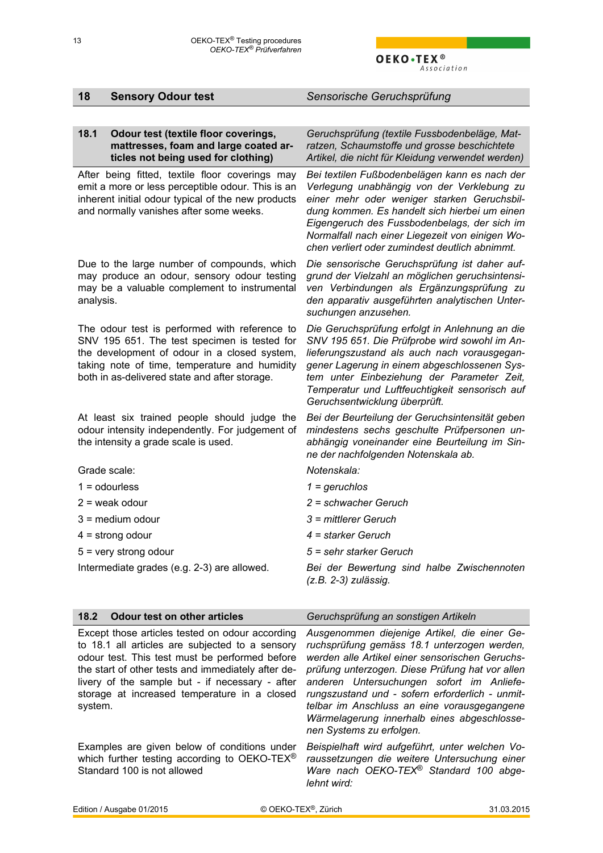*werden alle Artikel einer sensorischen Geruchsprüfung unterzogen. Diese Prüfung hat vor allen anderen Untersuchungen sofort im Anlieferungszustand und - sofern erforderlich - unmittelbar im Anschluss an eine vorausgegangene Wärmelagerung innerhalb eines abgeschlosse-*

*Beispielhaft wird aufgeführt, unter welchen Voraussetzungen die weitere Untersuchung einer Ware nach OEKO-TEX*® *Standard 100 abge-*

*nen Systems zu erfolgen.*

<span id="page-12-0"></span>

| 18           | <b>Sensory Odour test</b>                                                                                                                                                                                                                       | Sensorische Geruchsprüfung                                                                                                                                                                                                                                                                                                                       |
|--------------|-------------------------------------------------------------------------------------------------------------------------------------------------------------------------------------------------------------------------------------------------|--------------------------------------------------------------------------------------------------------------------------------------------------------------------------------------------------------------------------------------------------------------------------------------------------------------------------------------------------|
|              |                                                                                                                                                                                                                                                 |                                                                                                                                                                                                                                                                                                                                                  |
| 18.1         | Odour test (textile floor coverings,<br>mattresses, foam and large coated ar-<br>ticles not being used for clothing)                                                                                                                            | Geruchsprüfung (textile Fussbodenbeläge, Mat-<br>ratzen, Schaumstoffe und grosse beschichtete<br>Artikel, die nicht für Kleidung verwendet werden)                                                                                                                                                                                               |
|              | After being fitted, textile floor coverings may<br>emit a more or less perceptible odour. This is an<br>inherent initial odour typical of the new products<br>and normally vanishes after some weeks.                                           | Bei textilen Fußbodenbelägen kann es nach der<br>Verlegung unabhängig von der Verklebung zu<br>einer mehr oder weniger starken Geruchsbil-<br>dung kommen. Es handelt sich hierbei um einen<br>Eigengeruch des Fussbodenbelags, der sich im<br>Normalfall nach einer Liegezeit von einigen Wo-<br>chen verliert oder zumindest deutlich abnimmt. |
| analysis.    | Due to the large number of compounds, which<br>may produce an odour, sensory odour testing<br>may be a valuable complement to instrumental                                                                                                      | Die sensorische Geruchsprüfung ist daher auf-<br>grund der Vielzahl an möglichen geruchsintensi-<br>ven Verbindungen als Ergänzungsprüfung zu<br>den apparativ ausgeführten analytischen Unter-<br>suchungen anzusehen.                                                                                                                          |
|              | The odour test is performed with reference to<br>SNV 195 651. The test specimen is tested for<br>the development of odour in a closed system,<br>taking note of time, temperature and humidity<br>both in as-delivered state and after storage. | Die Geruchsprüfung erfolgt in Anlehnung an die<br>SNV 195 651. Die Prüfprobe wird sowohl im An-<br>lieferungszustand als auch nach vorausgegan-<br>gener Lagerung in einem abgeschlossenen Sys-<br>tem unter Einbeziehung der Parameter Zeit,<br>Temperatur und Luftfeuchtigkeit sensorisch auf<br>Geruchsentwicklung überprüft.                 |
|              | At least six trained people should judge the<br>odour intensity independently. For judgement of<br>the intensity a grade scale is used.                                                                                                         | Bei der Beurteilung der Geruchsintensität geben<br>mindestens sechs geschulte Prüfpersonen un-<br>abhängig voneinander eine Beurteilung im Sin-<br>ne der nachfolgenden Notenskala ab.                                                                                                                                                           |
| Grade scale: |                                                                                                                                                                                                                                                 | Notenskala:                                                                                                                                                                                                                                                                                                                                      |
|              | $1 =$ odourless                                                                                                                                                                                                                                 | $1 = geruchlos$                                                                                                                                                                                                                                                                                                                                  |
|              | $2$ = weak odour                                                                                                                                                                                                                                | $2 =$ schwacher Geruch                                                                                                                                                                                                                                                                                                                           |
|              | $3$ = medium odour                                                                                                                                                                                                                              | $3$ = mittlerer Geruch                                                                                                                                                                                                                                                                                                                           |
|              | $4 =$ strong odour                                                                                                                                                                                                                              | $4 =$ starker Geruch                                                                                                                                                                                                                                                                                                                             |
|              | $5 =$ very strong odour                                                                                                                                                                                                                         | 5 = sehr starker Geruch                                                                                                                                                                                                                                                                                                                          |
|              | Intermediate grades (e.g. 2-3) are allowed.                                                                                                                                                                                                     | Bei der Bewertung sind halbe Zwischennoten<br>$(z.B. 2-3)$ zulässig.                                                                                                                                                                                                                                                                             |
| 18.2         | <b>Odour test on other articles</b>                                                                                                                                                                                                             | Geruchsprüfung an sonstigen Artikeln                                                                                                                                                                                                                                                                                                             |
|              | Except those articles tested on odour according<br>to 18.1 all articles are subjected to a sensory                                                                                                                                              | Ausgenommen diejenige Artikel, die einer Ge-<br>ruchsprüfung gemäss 18.1 unterzogen werden,                                                                                                                                                                                                                                                      |

Standard 100 is not allowed

system.

odour test. This test must be performed before the start of other tests and immediately after delivery of the sample but - if necessary - after storage at increased temperature in a closed

Examples are given below of conditions under which further testing according to OEKO-TEX®

Edition / Ausgabe 01/2015 © OEKO-TEX®, Zürich 31.03.2015

*lehnt wird:*